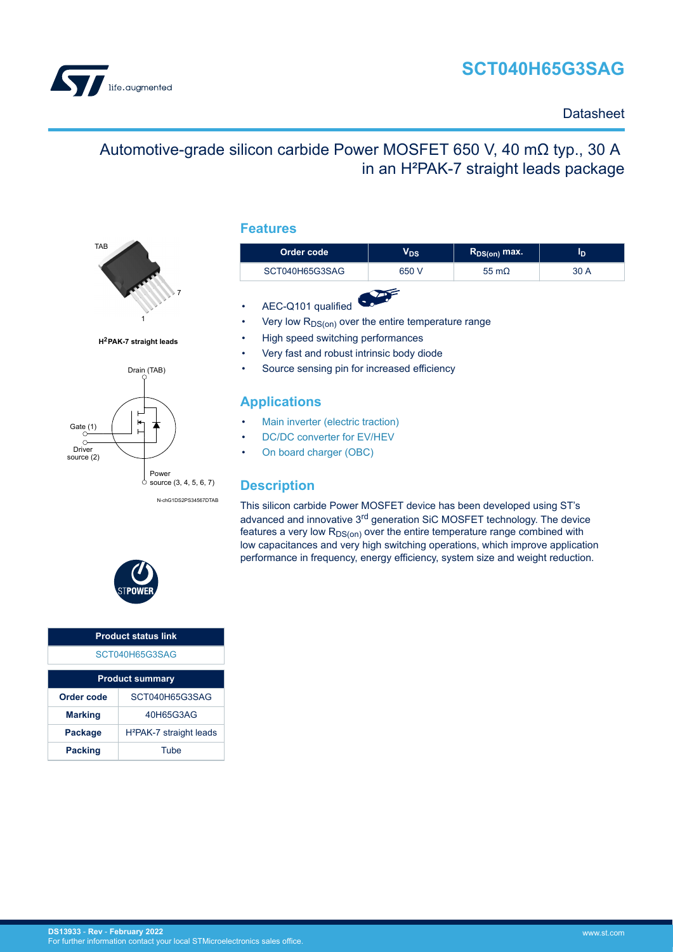



### **Datasheet**

## Automotive-grade silicon carbide Power MOSFET 650 V, 40 mΩ typ., 30 A in an H²PAK-7 straight leads package



**H2PAK-7 straight leads**



N-chG1DS2PS34567DTAB

#### **Features**

| Order code     | V <sub>DS</sub> | $R_{DS(on)}$ max. | סי   |  |  |
|----------------|-----------------|-------------------|------|--|--|
| SCT040H65G3SAG | 650 V           | 55 m $\Omega$     | 30 A |  |  |
|                |                 |                   |      |  |  |

- AEC-Q101 qualified
- Very low  $R_{DS(on)}$  over the entire temperature range
- High speed switching performances
- Very fast and robust intrinsic body diode
- Source sensing pin for increased efficiency

### **Applications**

- [Main inverter \(electric traction\)](https://www.st.com/en/applications/electro-mobility/main-inverter-electric-traction.html?ecmp=tt9471_gl_link_feb2019&rt=ds&id=DS13933)
- [DC/DC converter for EV/HEV](https://www.st.com/en/applications/electro-mobility/dc-dc-converter-for-ev-hev.html?ecmp=tt9471_gl_link_feb2019&rt=ds&id=DS13933)
- [On board charger \(OBC\)](https://www.st.com/en/applications/electro-mobility/on-board-charger-obc.html?ecmp=tt9471_gl_link_feb2019&rt=ds&id=DS13933)

### **Description**

This silicon carbide Power MOSFET device has been developed using ST's advanced and innovative 3rd generation SiC MOSFET technology. The device features a very low  $R_{DS(on)}$  over the entire temperature range combined with low capacitances and very high switching operations, which improve application performance in frequency, energy efficiency, system size and weight reduction.



| <b>Product status link</b> |                                     |  |  |  |
|----------------------------|-------------------------------------|--|--|--|
| SCT040H65G3SAG             |                                     |  |  |  |
| <b>Product summary</b>     |                                     |  |  |  |
| Order code                 | SCT040H65G3SAG                      |  |  |  |
| <b>Marking</b>             | 40H65G3AG                           |  |  |  |
| Package                    | H <sup>2</sup> PAK-7 straight leads |  |  |  |
| <b>Packing</b>             | Tube                                |  |  |  |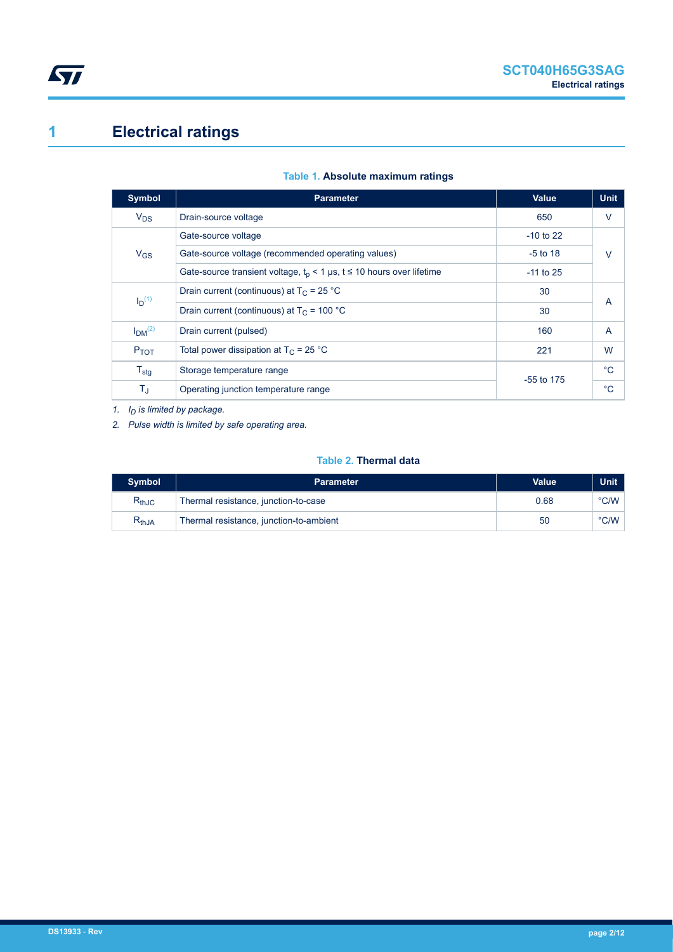# <span id="page-1-0"></span>**1 Electrical ratings**

| <b>Symbol</b>                  | <b>Parameter</b>                                                        | <b>Value</b> | <b>Unit</b>    |
|--------------------------------|-------------------------------------------------------------------------|--------------|----------------|
| $V_{DS}$                       | Drain-source voltage                                                    | 650          | $\vee$         |
|                                | Gate-source voltage                                                     | $-10$ to 22  |                |
| $V_{GS}$                       | Gate-source voltage (recommended operating values)                      | $-5$ to 18   | $\vee$         |
|                                | Gate-source transient voltage, $t_p$ < 1 µs, t ≤ 10 hours over lifetime | $-11$ to 25  |                |
| $I_D(1)$                       | Drain current (continuous) at $T_c = 25 °C$                             | 30           | $\overline{A}$ |
|                                | Drain current (continuous) at $T_C = 100 °C$                            | 30           |                |
| I <sub>DM</sub> <sup>(2)</sup> | Drain current (pulsed)                                                  | 160          | $\overline{A}$ |
| $P_{TOT}$                      | Total power dissipation at $T_C = 25$ °C                                | 221          | W              |
| $T_{\text{stg}}$               | Storage temperature range                                               | $-55$ to 175 | $^{\circ}C$    |
| $T_{\text{J}}$                 | Operating junction temperature range                                    |              | $^{\circ}C$    |

#### **Table 1. Absolute maximum ratings**

*1. ID is limited by package.*

*2. Pulse width is limited by safe operating area.*

#### **Table 2. Thermal data**

| <b>Symbol</b>                | <b>Parameter</b>                        | Value | Unit          |
|------------------------------|-----------------------------------------|-------|---------------|
| $\mathsf{R}_{\mathsf{thJC}}$ | Thermal resistance, junction-to-case    | 0.68  | °C/W          |
| $\mathsf{R}_{\mathsf{thJA}}$ | Thermal resistance, junction-to-ambient | 50    | $\degree$ C/W |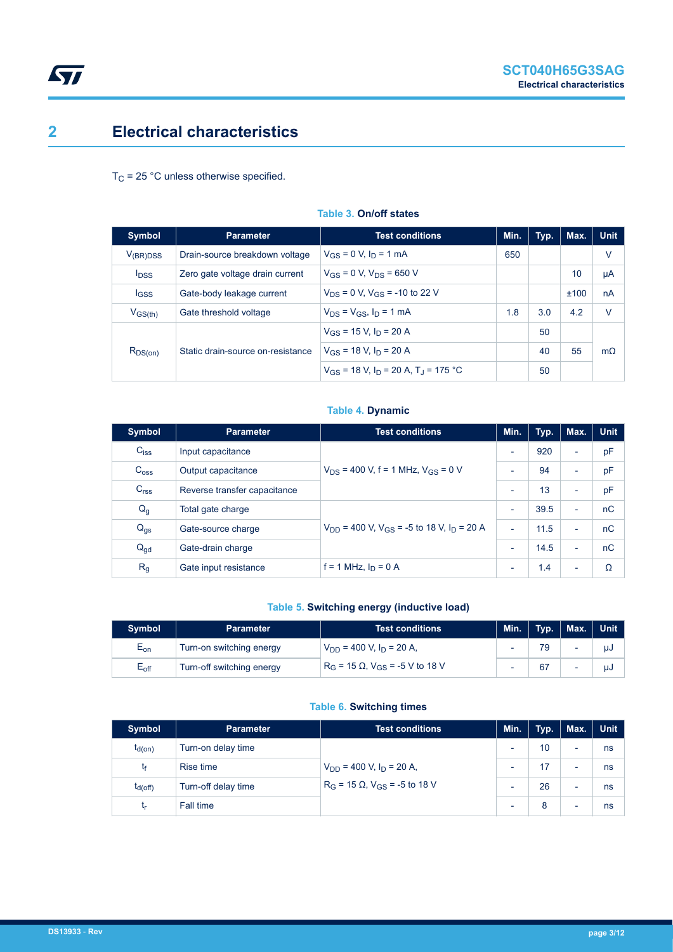## <span id="page-2-0"></span>**2 Electrical characteristics**

 $T_C$  = 25 °C unless otherwise specified.

| Symbol                  | <b>Parameter</b>                                                    | <b>Test conditions</b>                                 | Min. | Typ. | Max. | <b>Unit</b> |
|-------------------------|---------------------------------------------------------------------|--------------------------------------------------------|------|------|------|-------------|
| $V_{(BR)DSS}$           | Drain-source breakdown voltage                                      | $V_{GS} = 0$ V, $I_D = 1$ mA                           |      |      |      | V           |
| <b>I</b> <sub>DSS</sub> | $V_{GS} = 0$ V, $V_{DS} = 650$ V<br>Zero gate voltage drain current |                                                        |      |      | 10   | μA          |
| <b>IGSS</b>             | Gate-body leakage current                                           | $V_{DS}$ = 0 V, $V_{GS}$ = -10 to 22 V                 |      |      | ±100 | nA          |
| $V_{GS(th)}$            | Gate threshold voltage                                              | $V_{DS} = V_{GS}$ , $I_D = 1$ mA                       | 1.8  | 3.0  | 4.2  | $\vee$      |
| $R_{DS(on)}$            | Static drain-source on-resistance                                   | $V_{GS}$ = 15 V, $I_D$ = 20 A                          |      | 50   |      |             |
|                         |                                                                     | $V_{GS}$ = 18 V, $I_D$ = 20 A                          |      | 40   | 55   | $m\Omega$   |
|                         |                                                                     | $V_{GS}$ = 18 V, $I_D$ = 20 A, T <sub>J</sub> = 175 °C |      | 50   |      |             |

#### **Table 3. On/off states**

#### **Table 4. Dynamic**

| <b>Symbol</b>    | <b>Parameter</b>             | <b>Test conditions</b>                                                | Min.                     | Typ. | Max.                     | <b>Unit</b> |
|------------------|------------------------------|-----------------------------------------------------------------------|--------------------------|------|--------------------------|-------------|
| $C_{iss}$        | Input capacitance            |                                                                       | $\overline{\phantom{a}}$ | 920  | $\overline{\phantom{a}}$ | pF          |
| C <sub>oss</sub> | Output capacitance           | $V_{DS}$ = 400 V, f = 1 MHz, $V_{GS}$ = 0 V                           | $\overline{\phantom{0}}$ | 94   | ٠                        | pF          |
| C <sub>rss</sub> | Reverse transfer capacitance |                                                                       | $\overline{\phantom{a}}$ | 13   | ٠                        | pF          |
| $Q_g$            | Total gate charge            |                                                                       | $\overline{\phantom{a}}$ | 39.5 | ٠                        | nC          |
| $Q_{gs}$         | Gate-source charge           | $V_{DD}$ = 400 V, V <sub>GS</sub> = -5 to 18 V, I <sub>D</sub> = 20 A | $\overline{\phantom{a}}$ | 11.5 | $\overline{\phantom{0}}$ | nC          |
| $Q_{gd}$         | Gate-drain charge            |                                                                       | $\overline{\phantom{a}}$ | 14.5 | ٠                        | nC          |
| R <sub>g</sub>   | Gate input resistance        | f = 1 MHz, $I_D$ = 0 A                                                | $\overline{\phantom{a}}$ | 1.4  | ٠                        | Ω           |

#### **Table 5. Switching energy (inductive load)**

| <b>Symbol</b>              | <b>Parameter</b>          | Test conditions <b>T</b>                     | Min.                     | $\blacksquare$ Typ. | Max. Unit |
|----------------------------|---------------------------|----------------------------------------------|--------------------------|---------------------|-----------|
| $\mathsf{E}_{\mathsf{on}}$ | Turn-on switching energy  | $V_{DD}$ = 400 V, $I_D$ = 20 A,              | $\overline{\phantom{0}}$ |                     | นป        |
| $E_{\rm off}$              | Turn-off switching energy | $R_G$ = 15 Ω, V <sub>GS</sub> = -5 V to 18 V | $\overline{\phantom{0}}$ | 67                  | นป        |

#### **Table 6. Switching times**

| <b>Symbol</b> | <b>Parameter</b>    | <b>Test conditions</b>                                                         | Min.                     | Typ.            | Max.                     | <b>Unit</b> |
|---------------|---------------------|--------------------------------------------------------------------------------|--------------------------|-----------------|--------------------------|-------------|
| $t_{d(on)}$   | Turn-on delay time  | $V_{DD}$ = 400 V, $I_D$ = 20 A,<br>$R_G$ = 15 $\Omega$ , $V_{GS}$ = -5 to 18 V | $\overline{\phantom{0}}$ | 10 <sup>°</sup> | $\overline{\phantom{0}}$ | ns          |
| tғ            | Rise time           |                                                                                | ۰                        | 17              | $\overline{\phantom{0}}$ | ns          |
| $I_{d(Off)}$  | Turn-off delay time |                                                                                | ۰                        | 26              |                          | ns          |
| <b>Lr</b>     | Fall time           |                                                                                | ٠                        | 8               | $\overline{\phantom{0}}$ | ns          |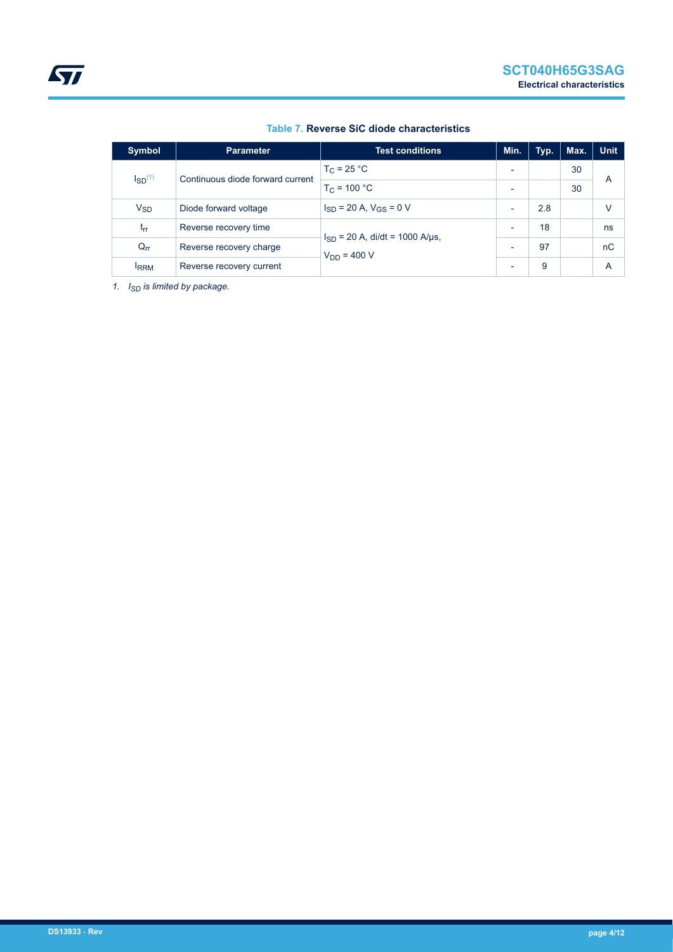| Symbol                           | <b>Parameter</b>                 | <b>Test conditions</b>              | Min.                     | Typ. | Max. | <b>Unit</b> |
|----------------------------------|----------------------------------|-------------------------------------|--------------------------|------|------|-------------|
| $\mathsf{I}_{\mathsf{SD}}^{(1)}$ | Continuous diode forward current | $T_C = 25 °C$                       | $\overline{\phantom{0}}$ |      | 30   |             |
|                                  |                                  | $T_C = 100 °C$                      | $\overline{\phantom{0}}$ |      | 30   | A           |
| $V_{SD}$                         | Diode forward voltage            | $I_{SD}$ = 20 A, $V_{GS}$ = 0 V     | $\overline{\phantom{0}}$ | 2.8  |      | V           |
| trr                              | Reverse recovery time            | $I_{SD}$ = 20 A, di/dt = 1000 A/µs, | $\overline{\phantom{0}}$ | 18   |      | ns          |
| $Q_{rr}$                         | Reverse recovery charge          | $V_{DD} = 400 V$                    | -                        | 97   |      | nC          |
| <b>IRRM</b>                      | Reverse recovery current         |                                     | $\overline{\phantom{0}}$ | 9    |      | A           |

#### **Table 7. Reverse SiC diode characteristics**

*1. ISD is limited by package.*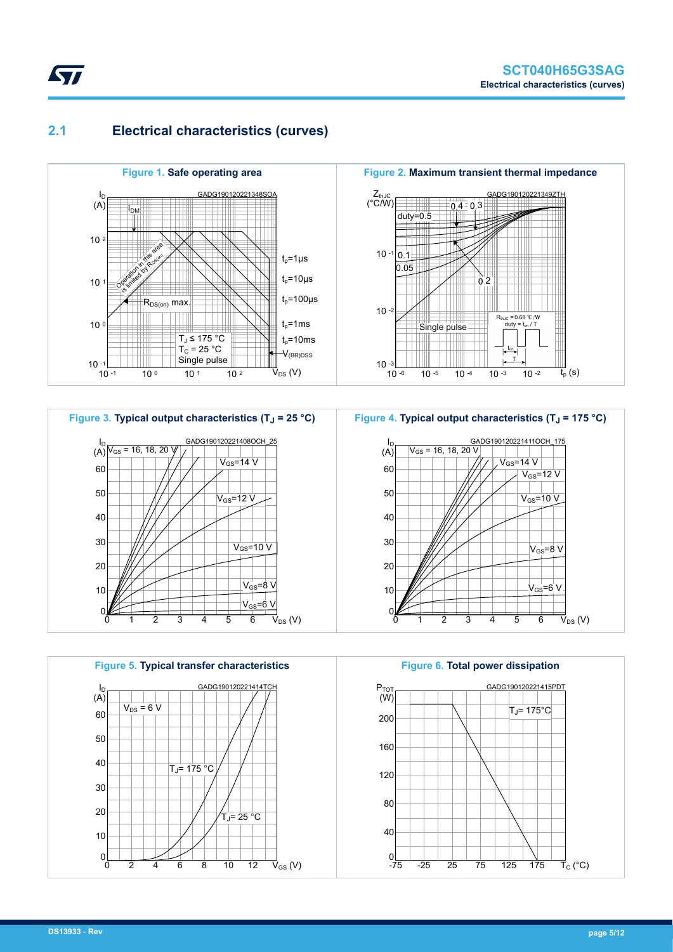### **2.1 Electrical characteristics (curves)**

<span id="page-4-0"></span>**STI** 









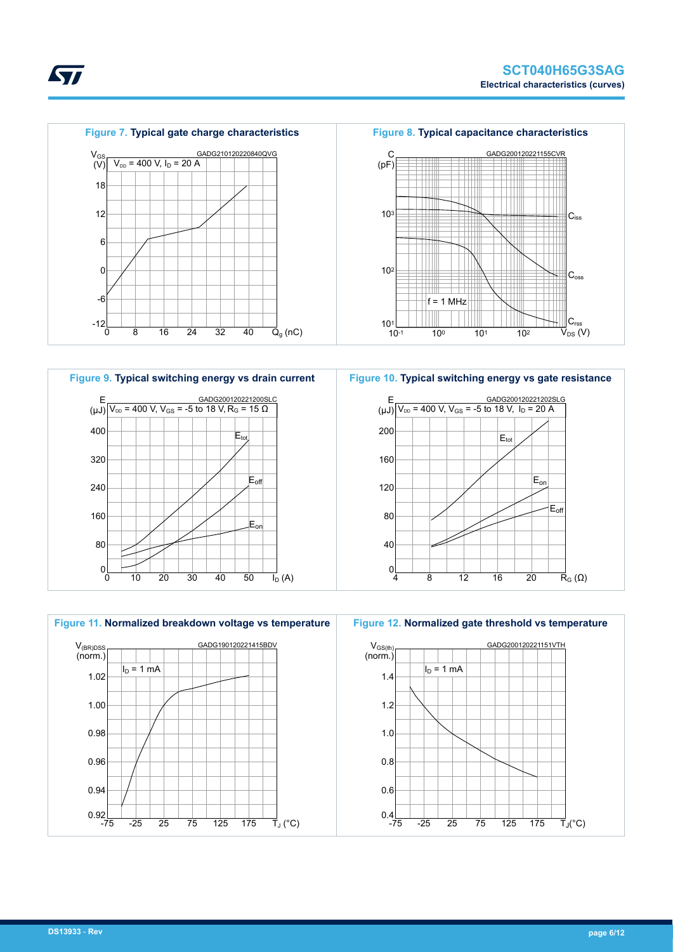



**Figure 10. Typical switching energy vs gate resistance**





*kyi*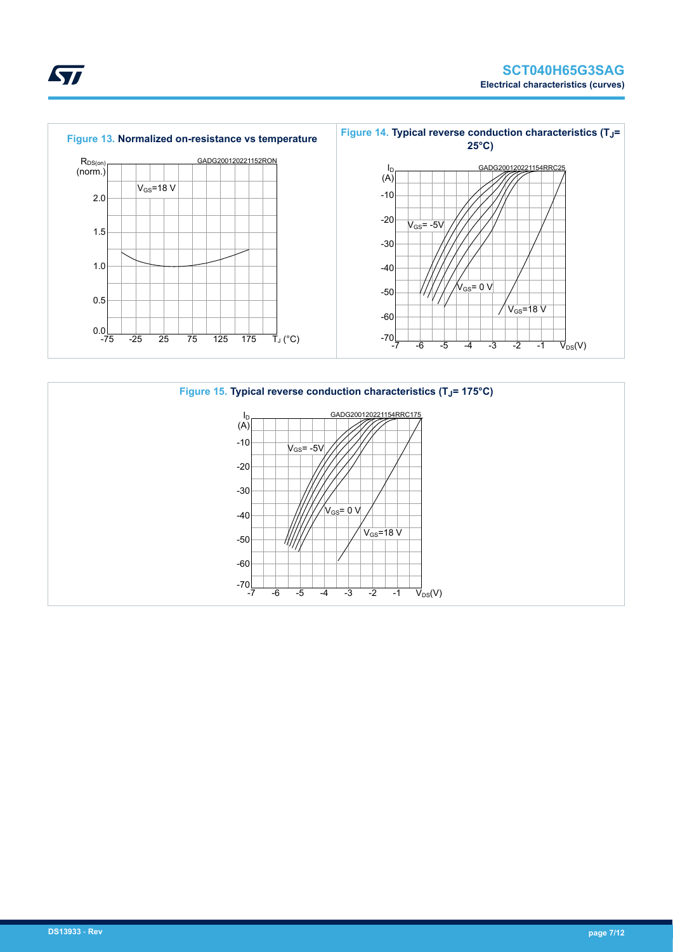



ST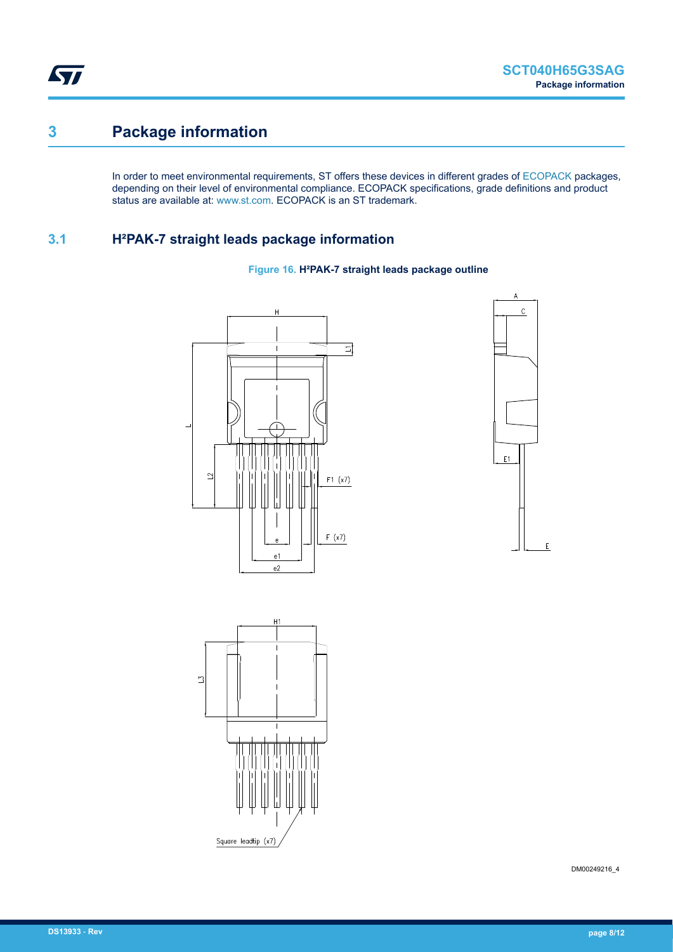<span id="page-7-0"></span>ST

## **3 Package information**

In order to meet environmental requirements, ST offers these devices in different grades of [ECOPACK](https://www.st.com/ecopack) packages, depending on their level of environmental compliance. ECOPACK specifications, grade definitions and product status are available at: [www.st.com.](http://www.st.com) ECOPACK is an ST trademark.

### **3.1 H²PAK-7 straight leads package information**









DM00249216\_4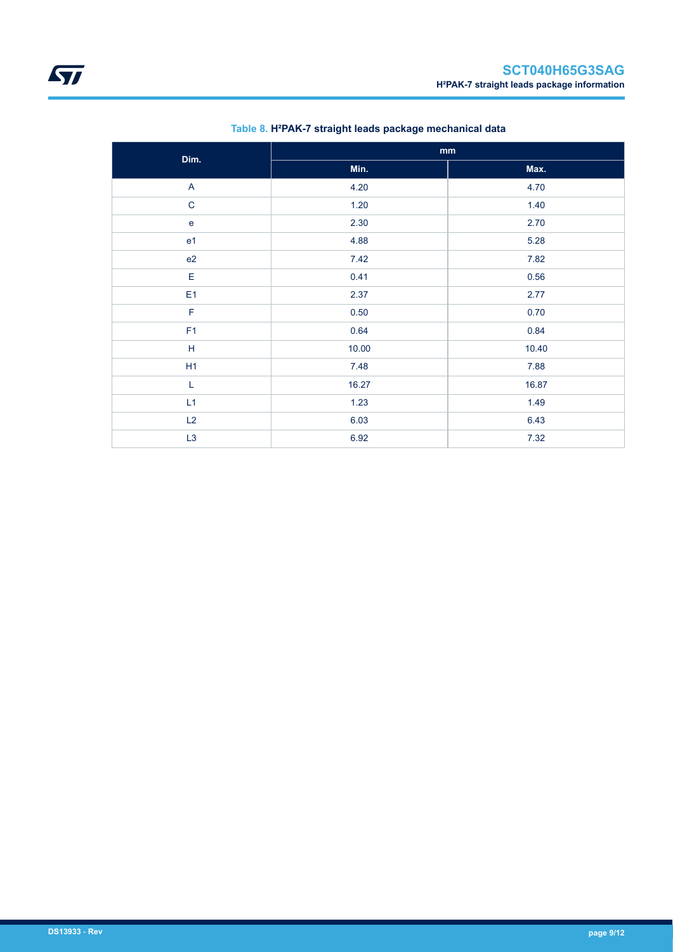| Dim.                    | mm       |       |
|-------------------------|----------|-------|
|                         | Min.     | Max.  |
| $\overline{\mathsf{A}}$ | 4.20     | 4.70  |
| $\mathbf C$             | 1.20     | 1.40  |
| ${\bf e}$               | 2.30     | 2.70  |
| e <sub>1</sub>          | 4.88     | 5.28  |
| e2                      | 7.42     | 7.82  |
| E                       | 0.41     | 0.56  |
| E <sub>1</sub>          | 2.37     | 2.77  |
| F                       | $0.50\,$ | 0.70  |
| F1                      | 0.64     | 0.84  |
| $\mathsf H$             | 10.00    | 10.40 |
| H1                      | 7.48     | 7.88  |
| L                       | 16.27    | 16.87 |
| L1                      | 1.23     | 1.49  |
| L2                      | 6.03     | 6.43  |
| L3                      | 6.92     | 7.32  |

#### **Table 8. H²PAK-7 straight leads package mechanical data**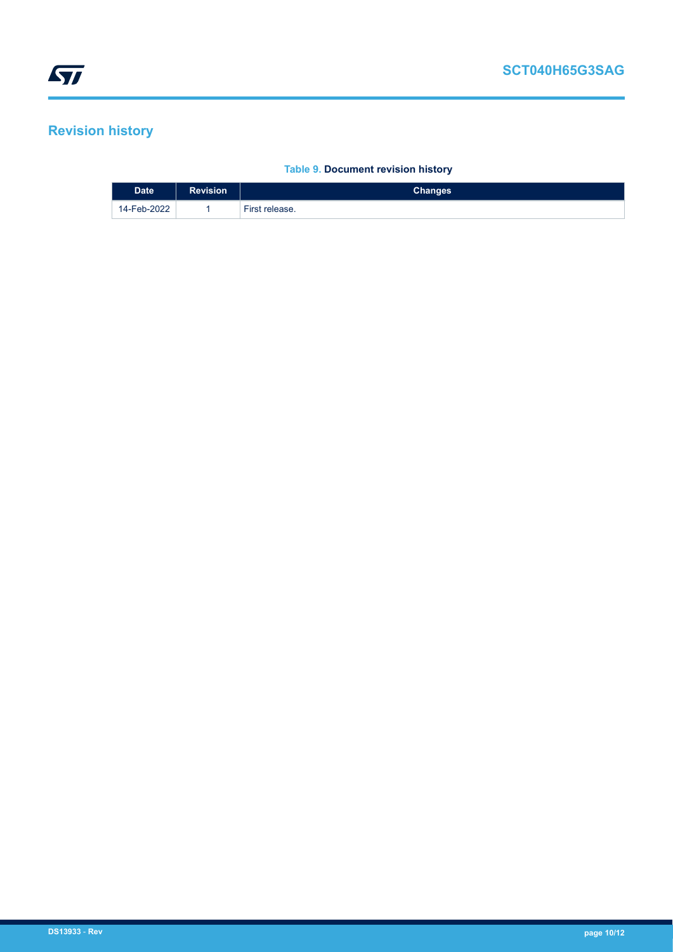# <span id="page-9-0"></span>**Revision history**

#### **Table 9. Document revision history**

| <b>Date</b> | <b>Revision</b> | <b>Changes</b> |
|-------------|-----------------|----------------|
| 14-Feb-2022 |                 | First release. |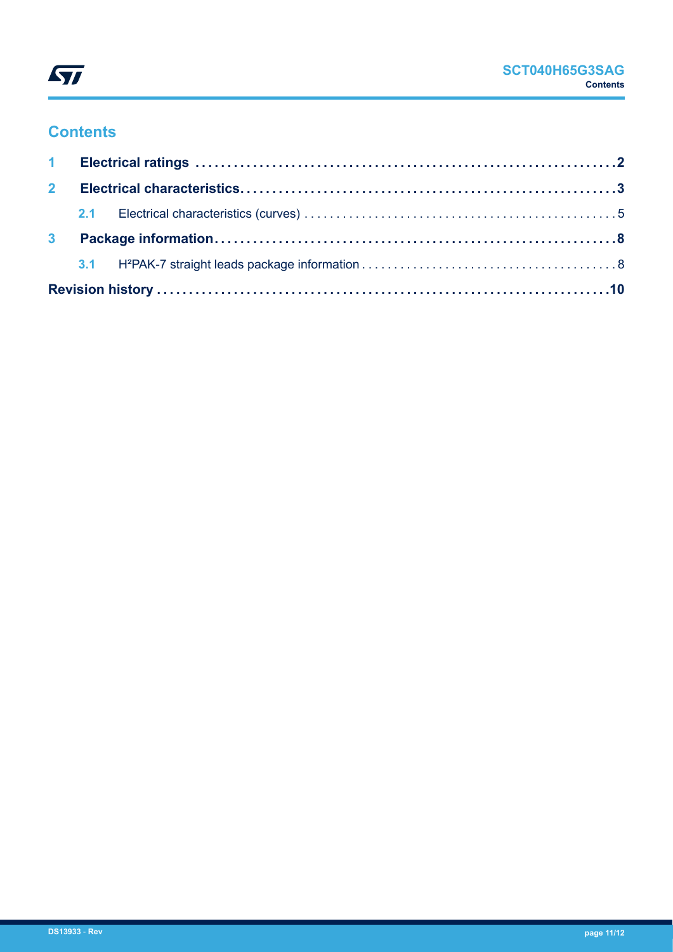

## **Contents**

| 2 <sup>7</sup> |  |  |
|----------------|--|--|
|                |  |  |
| 3 <sup>1</sup> |  |  |
|                |  |  |
|                |  |  |